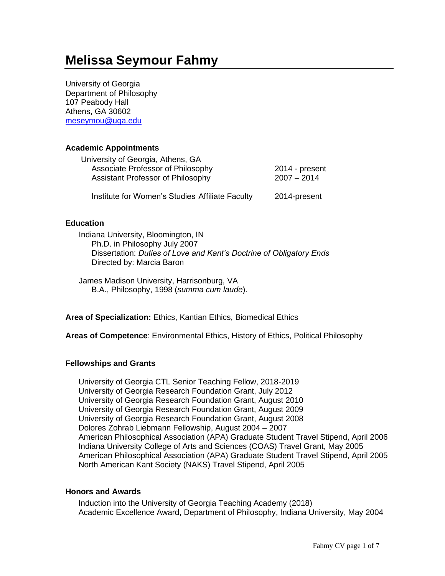# **Melissa Seymour Fahmy**

University of Georgia Department of Philosophy 107 Peabody Hall Athens, GA 30602 [meseymou@uga.edu](mailto:meseymou@uga.edu)

# **Academic Appointments**

| University of Georgia, Athens, GA               |                |
|-------------------------------------------------|----------------|
| Associate Professor of Philosophy               | 2014 - present |
| Assistant Professor of Philosophy               | $2007 - 2014$  |
| Institute for Women's Studies Affiliate Faculty | 2014-present   |

## **Education**

 Indiana University, Bloomington, IN Ph.D. in Philosophy July 2007 Dissertation: *Duties of Love and Kant's Doctrine of Obligatory Ends* Directed by: Marcia Baron

James Madison University, Harrisonburg, VA B.A., Philosophy, 1998 (*summa cum laude*).

**Area of Specialization:** Ethics, Kantian Ethics, Biomedical Ethics

**Areas of Competence**: Environmental Ethics, History of Ethics, Political Philosophy

# **Fellowships and Grants**

University of Georgia CTL Senior Teaching Fellow, 2018-2019 University of Georgia Research Foundation Grant, July 2012 University of Georgia Research Foundation Grant, August 2010 University of Georgia Research Foundation Grant, August 2009 University of Georgia Research Foundation Grant, August 2008 Dolores Zohrab Liebmann Fellowship, August 2004 – 2007 American Philosophical Association (APA) Graduate Student Travel Stipend, April 2006 Indiana University College of Arts and Sciences (COAS) Travel Grant, May 2005 American Philosophical Association (APA) Graduate Student Travel Stipend, April 2005 North American Kant Society (NAKS) Travel Stipend, April 2005

## **Honors and Awards**

Induction into the University of Georgia Teaching Academy (2018) Academic Excellence Award, Department of Philosophy, Indiana University, May 2004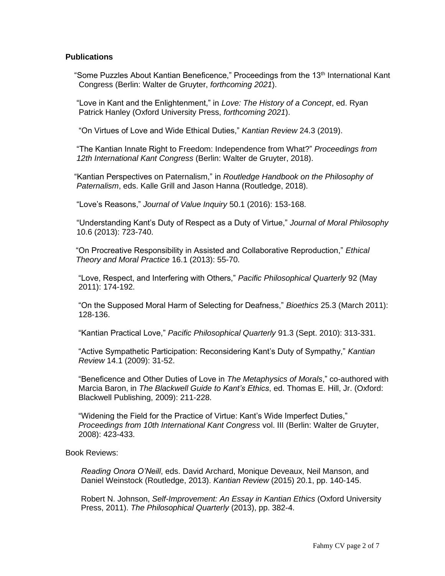## **Publications**

"Some Puzzles About Kantian Beneficence," Proceedings from the 13<sup>th</sup> International Kant Congress (Berlin: Walter de Gruyter, *forthcoming 2021*).

 "Love in Kant and the Enlightenment," in *Love: The History of a Concept*, ed. Ryan Patrick Hanley (Oxford University Press, *forthcoming 2021*).

"On Virtues of Love and Wide Ethical Duties," *Kantian Review* 24.3 (2019).

 "The Kantian Innate Right to Freedom: Independence from What?" *Proceedings from 12th International Kant Congress* (Berlin: Walter de Gruyter, 2018).

 "Kantian Perspectives on Paternalism," in *Routledge Handbook on the Philosophy of Paternalism*, eds. Kalle Grill and Jason Hanna (Routledge, 2018).

"Love's Reasons," *Journal of Value Inquiry* 50.1 (2016): 153-168.

 "Understanding Kant's Duty of Respect as a Duty of Virtue," *Journal of Moral Philosophy* 10.6 (2013): 723-740.

"On Procreative Responsibility in Assisted and Collaborative Reproduction," *Ethical Theory and Moral Practice* 16.1 (2013): 55-70.

"Love, Respect, and Interfering with Others," *Pacific Philosophical Quarterly* 92 (May 2011): 174-192.

"On the Supposed Moral Harm of Selecting for Deafness," *Bioethics* 25.3 (March 2011): 128-136.

"Kantian Practical Love," *Pacific Philosophical Quarterly* 91.3 (Sept. 2010): 313-331.

"Active Sympathetic Participation: Reconsidering Kant's Duty of Sympathy," *Kantian Review* 14.1 (2009): 31-52.

"Beneficence and Other Duties of Love in *The Metaphysics of Morals*," co-authored with Marcia Baron, in *The Blackwell Guide to Kant's Ethics*, ed. Thomas E. Hill, Jr. (Oxford: Blackwell Publishing, 2009): 211-228.

"Widening the Field for the Practice of Virtue: Kant's Wide Imperfect Duties," *Proceedings from 10th International Kant Congress* vol. III (Berlin: Walter de Gruyter, 2008): 423-433.

Book Reviews:

 *Reading Onora O'Neill*, eds. David Archard, Monique Deveaux, Neil Manson, and Daniel Weinstock (Routledge, 2013). *Kantian Review* (2015) 20.1, pp. 140-145.

 Robert N. Johnson, *Self-Improvement: An Essay in Kantian Ethics* (Oxford University Press, 2011). *The Philosophical Quarterly* (2013), pp. 382-4.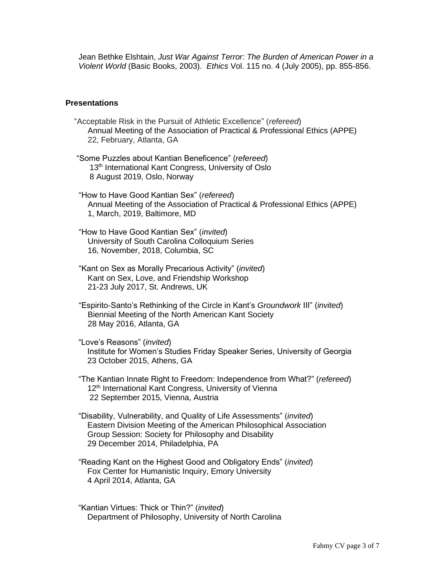Jean Bethke Elshtain, *Just War Against Terror: The Burden of American Power in a Violent World* (Basic Books, 2003). *Ethics* Vol. 115 no. 4 (July 2005), pp. 855-856.

## **Presentations**

| "Acceptable Risk in the Pursuit of Athletic Excellence" (refereed)<br>Annual Meeting of the Association of Practical & Professional Ethics (APPE)<br>22, February, Atlanta, GA                                                             |
|--------------------------------------------------------------------------------------------------------------------------------------------------------------------------------------------------------------------------------------------|
| "Some Puzzles about Kantian Beneficence" (refereed)<br>13 <sup>th</sup> International Kant Congress, University of Oslo<br>8 August 2019, Oslo, Norway                                                                                     |
| "How to Have Good Kantian Sex" (refereed)<br>Annual Meeting of the Association of Practical & Professional Ethics (APPE)<br>1, March, 2019, Baltimore, MD                                                                                  |
| "How to Have Good Kantian Sex" (invited)<br>University of South Carolina Colloquium Series<br>16, November, 2018, Columbia, SC                                                                                                             |
| "Kant on Sex as Morally Precarious Activity" (invited)<br>Kant on Sex, Love, and Friendship Workshop<br>21-23 July 2017, St. Andrews, UK                                                                                                   |
| "Espirito-Santo's Rethinking of the Circle in Kant's Groundwork III" (invited)<br>Biennial Meeting of the North American Kant Society<br>28 May 2016, Atlanta, GA                                                                          |
| "Love's Reasons" (invited)<br>Institute for Women's Studies Friday Speaker Series, University of Georgia<br>23 October 2015, Athens, GA                                                                                                    |
| "The Kantian Innate Right to Freedom: Independence from What?" (refereed)<br>12 <sup>th</sup> International Kant Congress, University of Vienna<br>22 September 2015, Vienna, Austria                                                      |
| "Disability, Vulnerability, and Quality of Life Assessments" (invited)<br>Eastern Division Meeting of the American Philosophical Association<br>Group Session: Society for Philosophy and Disability<br>29 December 2014, Philadelphia, PA |
| "Reading Kant on the Highest Good and Obligatory Ends" (invited)<br>Fox Center for Humanistic Inquiry, Emory University<br>4 April 2014, Atlanta, GA                                                                                       |

"Kantian Virtues: Thick or Thin?" (*invited*) Department of Philosophy, University of North Carolina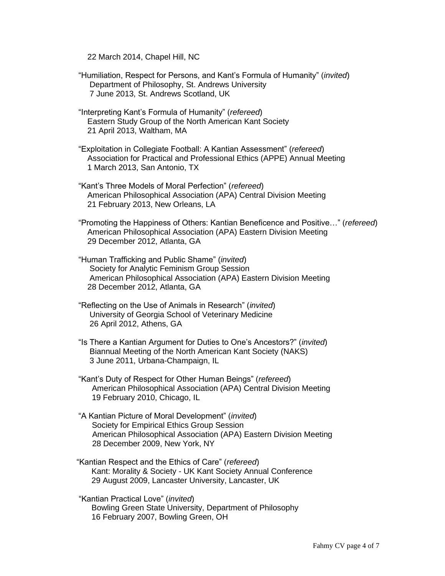22 March 2014, Chapel Hill, NC

- "Humiliation, Respect for Persons, and Kant's Formula of Humanity" (*invited*) Department of Philosophy, St. Andrews University 7 June 2013, St. Andrews Scotland, UK
- "Interpreting Kant's Formula of Humanity" (*refereed*) Eastern Study Group of the North American Kant Society 21 April 2013, Waltham, MA
- "Exploitation in Collegiate Football: A Kantian Assessment" (*refereed*) Association for Practical and Professional Ethics (APPE) Annual Meeting 1 March 2013, San Antonio, TX
- "Kant's Three Models of Moral Perfection" (*refereed*) American Philosophical Association (APA) Central Division Meeting 21 February 2013, New Orleans, LA
- "Promoting the Happiness of Others: Kantian Beneficence and Positive…" (*refereed*) American Philosophical Association (APA) Eastern Division Meeting 29 December 2012, Atlanta, GA
- "Human Trafficking and Public Shame" (*invited*) Society for Analytic Feminism Group Session American Philosophical Association (APA) Eastern Division Meeting 28 December 2012, Atlanta, GA
- "Reflecting on the Use of Animals in Research" (*invited*) University of Georgia School of Veterinary Medicine 26 April 2012, Athens, GA
- "Is There a Kantian Argument for Duties to One's Ancestors?" (*invited*) Biannual Meeting of the North American Kant Society (NAKS) 3 June 2011, Urbana-Champaign, IL
- "Kant's Duty of Respect for Other Human Beings" (*refereed*) American Philosophical Association (APA) Central Division Meeting 19 February 2010, Chicago, IL
- "A Kantian Picture of Moral Development" (*invited*) Society for Empirical Ethics Group Session American Philosophical Association (APA) Eastern Division Meeting 28 December 2009, New York, NY
- "Kantian Respect and the Ethics of Care" (*refereed*) Kant: Morality & Society - UK Kant Society Annual Conference 29 August 2009, Lancaster University, Lancaster, UK
- "Kantian Practical Love" (*invited*) Bowling Green State University, Department of Philosophy 16 February 2007, Bowling Green, OH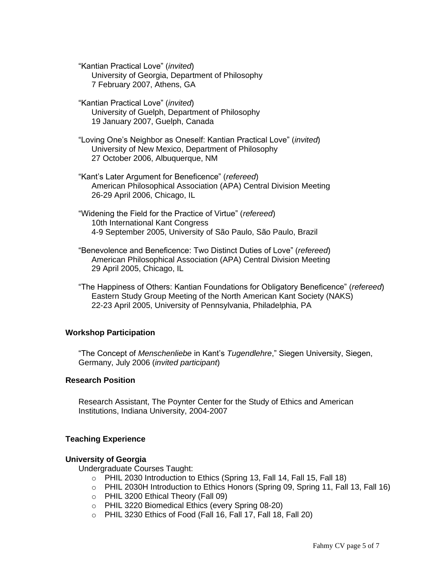"Kantian Practical Love" (*invited*) University of Georgia, Department of Philosophy 7 February 2007, Athens, GA

"Kantian Practical Love" (*invited*) University of Guelph, Department of Philosophy 19 January 2007, Guelph, Canada

"Loving One's Neighbor as Oneself: Kantian Practical Love" (*invited*) University of New Mexico, Department of Philosophy 27 October 2006, Albuquerque, NM

"Kant's Later Argument for Beneficence" (*refereed*) American Philosophical Association (APA) Central Division Meeting 26-29 April 2006, Chicago, IL

"Widening the Field for the Practice of Virtue" (*refereed*) 10th International Kant Congress 4-9 September 2005, University of São Paulo, São Paulo, Brazil

"Benevolence and Beneficence: Two Distinct Duties of Love" (*refereed*) American Philosophical Association (APA) Central Division Meeting 29 April 2005, Chicago, IL

"The Happiness of Others: Kantian Foundations for Obligatory Beneficence" (*refereed*) Eastern Study Group Meeting of the North American Kant Society (NAKS) 22-23 April 2005, University of Pennsylvania, Philadelphia, PA

# **Workshop Participation**

"The Concept of *Menschenliebe* in Kant's *Tugendlehre*," Siegen University, Siegen, Germany, July 2006 (*invited participant*)

## **Research Position**

Research Assistant, The Poynter Center for the Study of Ethics and American Institutions, Indiana University, 2004-2007

## **Teaching Experience**

#### **University of Georgia**

Undergraduate Courses Taught:

- o PHIL 2030 Introduction to Ethics (Spring 13, Fall 14, Fall 15, Fall 18)
- $\circ$  PHIL 2030H Introduction to Ethics Honors (Spring 09, Spring 11, Fall 13, Fall 16)
- o PHIL 3200 Ethical Theory (Fall 09)
- o PHIL 3220 Biomedical Ethics (every Spring 08-20)
- o PHIL 3230 Ethics of Food (Fall 16, Fall 17, Fall 18, Fall 20)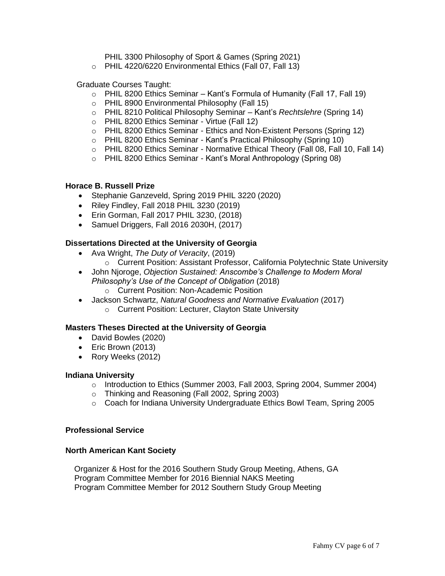PHIL 3300 Philosophy of Sport & Games (Spring 2021)

o PHIL 4220/6220 Environmental Ethics (Fall 07, Fall 13)

Graduate Courses Taught:

- $\circ$  PHIL 8200 Ethics Seminar Kant's Formula of Humanity (Fall 17, Fall 19)
- o PHIL 8900 Environmental Philosophy (Fall 15)
- o PHIL 8210 Political Philosophy Seminar Kant's *Rechtslehre* (Spring 14)
- o PHIL 8200 Ethics Seminar Virtue (Fall 12)
- o PHIL 8200 Ethics Seminar Ethics and Non-Existent Persons (Spring 12)
- o PHIL 8200 Ethics Seminar Kant's Practical Philosophy (Spring 10)
- o PHIL 8200 Ethics Seminar Normative Ethical Theory (Fall 08, Fall 10, Fall 14)
- o PHIL 8200 Ethics Seminar Kant's Moral Anthropology (Spring 08)

## **Horace B. Russell Prize**

- Stephanie Ganzeveld, Spring 2019 PHIL 3220 (2020)
- Riley Findley, Fall 2018 PHIL 3230 (2019)
- Erin Gorman, Fall 2017 PHIL 3230, (2018)
- Samuel Driggers, Fall 2016 2030H, (2017)

# **Dissertations Directed at the University of Georgia**

- Ava Wright, *The Duty of Veracity*, (2019)
	- o Current Position: Assistant Professor, California Polytechnic State University
- John Njoroge, *Objection Sustained: Anscombe's Challenge to Modern Moral Philosophy's Use of the Concept of Obligation* (2018) o Current Position: Non-Academic Position
- Jackson Schwartz, *Natural Goodness and Normative Evaluation* (2017)
	- o Current Position: Lecturer, Clayton State University

## **Masters Theses Directed at the University of Georgia**

- David Bowles (2020)
- Eric Brown (2013)
- Rory Weeks (2012)

## **Indiana University**

- $\circ$  Introduction to Ethics (Summer 2003, Fall 2003, Spring 2004, Summer 2004)
- o Thinking and Reasoning (Fall 2002, Spring 2003)
- $\circ$  Coach for Indiana University Undergraduate Ethics Bowl Team, Spring 2005

## **Professional Service**

## **North American Kant Society**

 Organizer & Host for the 2016 Southern Study Group Meeting, Athens, GA Program Committee Member for 2016 Biennial NAKS Meeting Program Committee Member for 2012 Southern Study Group Meeting